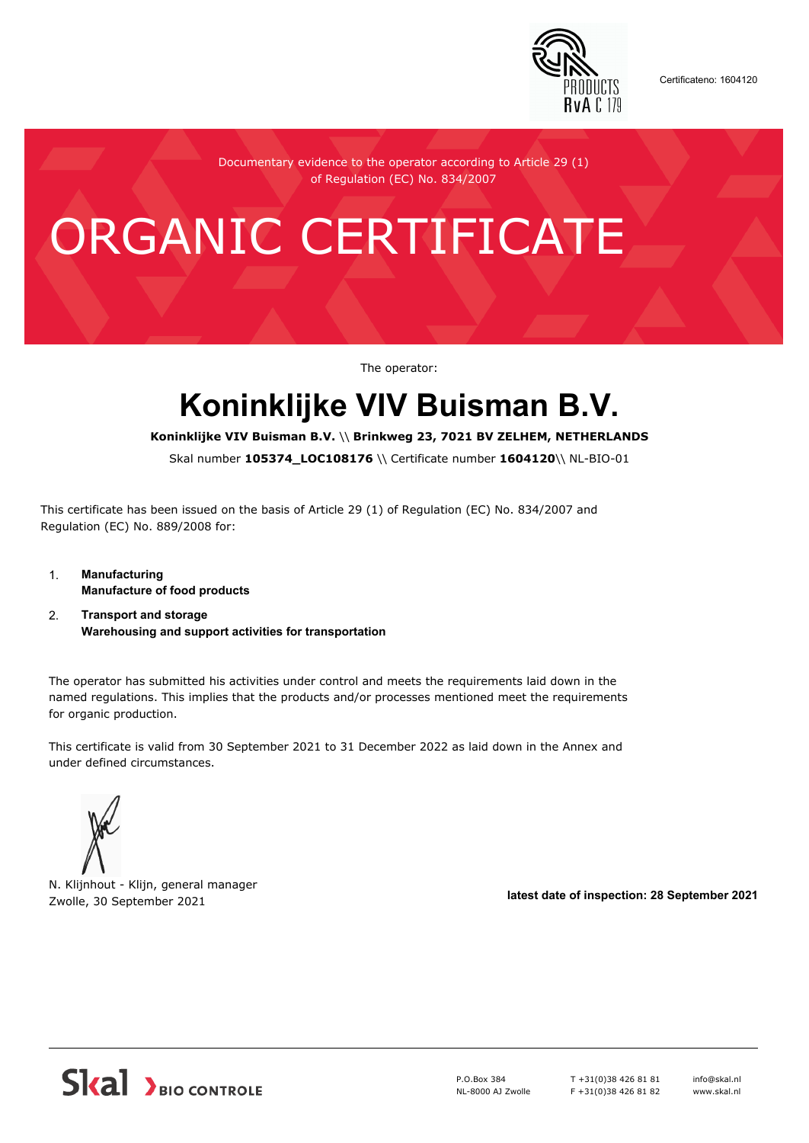

Certificateno: 1604120

Documentary evidence to the operator according to Article 29 (1) of Regulation (EC) No. 834/2007

## ORGANIC CERTIFICATE

The operator:

## **Koninklijke VIV Buisman B.V.**

**Koninklijke VIV Buisman B.V.** \\ **Brinkweg 23, 7021 BV ZELHEM, NETHERLANDS**

Skal number **105374\_LOC108176** \\ Certificate number **1604120**\\ NL-BIO-01

This certificate has been issued on the basis of Article 29 (1) of Regulation (EC) No. 834/2007 and Regulation (EC) No. 889/2008 for:

- 1. **Manufacturing Manufacture of food products**
- 2. **Transport and storage Warehousing and support activities for transportation**

The operator has submitted his activities under control and meets the requirements laid down in the named regulations. This implies that the products and/or processes mentioned meet the requirements for organic production.

This certificate is valid from 30 September 2021 to 31 December 2022 as laid down in the Annex and under defined circumstances.



N. Klijnhout - Klijn, general manager Zwolle, 30 September 2021 **latest date of inspection: 28 September 2021**



P.O.Box 384 NL-8000 AJ Zwolle